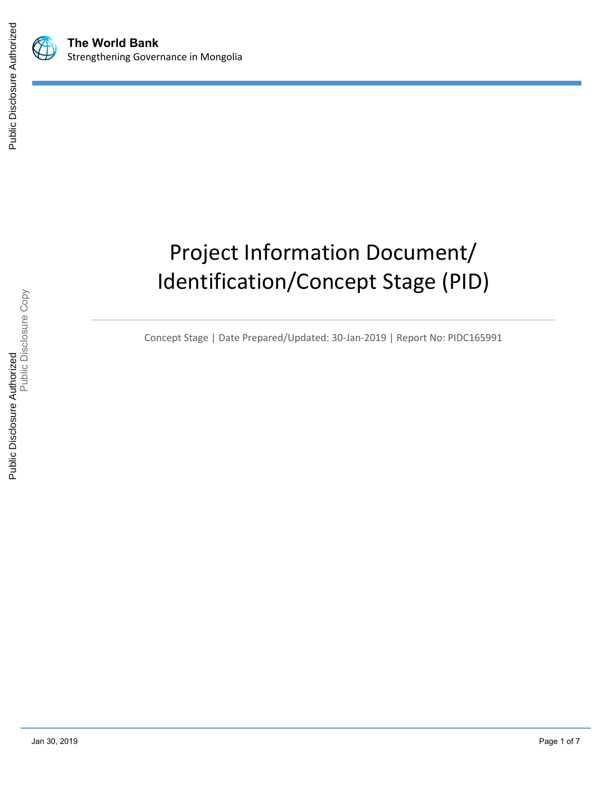



# Project Information Document/ Identification/Concept Stage (PID)

Concept Stage | Date Prepared/Updated: 30-Jan-2019 | Report No: PIDC165991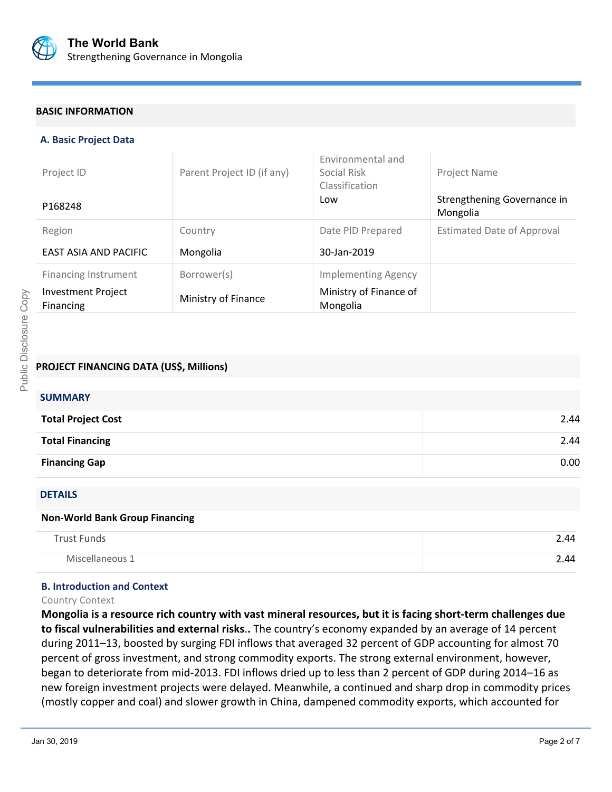

## **BASIC INFORMATION**

## **A. Basic Project Data**

| Project ID                                    | Parent Project ID (if any) | Environmental and<br>Social Risk<br>Classification | Project Name                            |
|-----------------------------------------------|----------------------------|----------------------------------------------------|-----------------------------------------|
| P168248                                       |                            | Low                                                | Strengthening Governance in<br>Mongolia |
| Region                                        | Country                    | Date PID Prepared                                  | <b>Estimated Date of Approval</b>       |
| EAST ASIA AND PACIFIC                         | Mongolia                   | 30-Jan-2019                                        |                                         |
| <b>Financing Instrument</b>                   | Borrower(s)                | <b>Implementing Agency</b>                         |                                         |
| <b>Investment Project</b><br><b>Financing</b> | Ministry of Finance        | Ministry of Finance of<br>Mongolia                 |                                         |

## **PROJECT FINANCING DATA (US\$, Millions)**

| <b>SUMMARY</b>            |      |
|---------------------------|------|
| <b>Total Project Cost</b> | 2.44 |
| <b>Total Financing</b>    | 2.44 |
| <b>Financing Gap</b>      | 0.00 |
|                           |      |

## DETAILS

#### **Non-World Bank Group Financing**

| <b>Trust Funds</b> | 2.44 |
|--------------------|------|
| Miscellaneous 1    | 2.44 |

#### **B. Introduction and Context**

## Country Context

**Mongolia is a resource rich country with vast mineral resources, but it is facing short-term challenges due to fiscal vulnerabilities and external risks**.**.** The country's economy expanded by an average of 14 percent during 2011–13, boosted by surging FDI inflows that averaged 32 percent of GDP accounting for almost 70 percent of gross investment, and strong commodity exports. The strong external environment, however, began to deteriorate from mid-2013. FDI inflows dried up to less than 2 percent of GDP during 2014–16 as new foreign investment projects were delayed. Meanwhile, a continued and sharp drop in commodity prices (mostly copper and coal) and slower growth in China, dampened commodity exports, which accounted for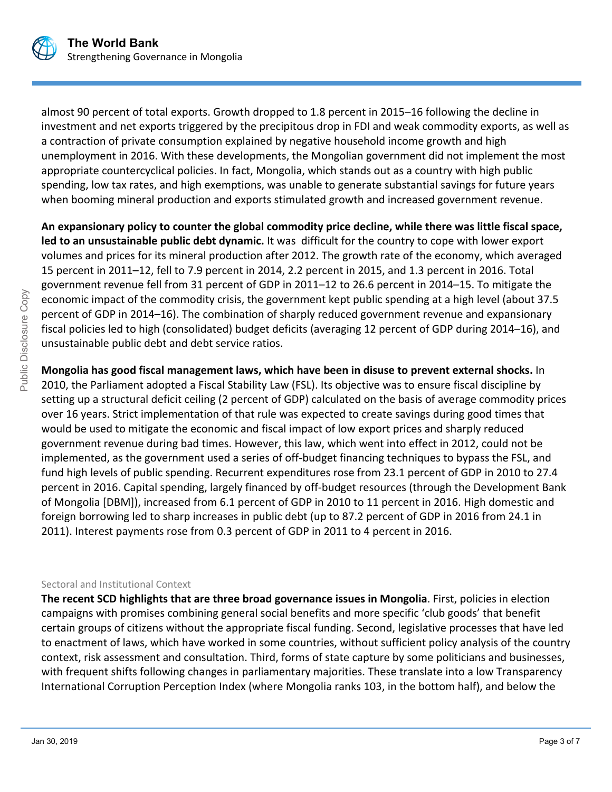

almost 90 percent of total exports. Growth dropped to 1.8 percent in 2015–16 following the decline in investment and net exports triggered by the precipitous drop in FDI and weak commodity exports, as well as a contraction of private consumption explained by negative household income growth and high unemployment in 2016. With these developments, the Mongolian government did not implement the most appropriate countercyclical policies. In fact, Mongolia, which stands out as a country with high public spending, low tax rates, and high exemptions, was unable to generate substantial savings for future years when booming mineral production and exports stimulated growth and increased government revenue.

**An expansionary policy to counter the global commodity price decline, while there was little fiscal space, led to an unsustainable public debt dynamic.** It was difficult for the country to cope with lower export volumes and prices for its mineral production after 2012. The growth rate of the economy, which averaged 15 percent in 2011–12, fell to 7.9 percent in 2014, 2.2 percent in 2015, and 1.3 percent in 2016. Total government revenue fell from 31 percent of GDP in 2011–12 to 26.6 percent in 2014–15. To mitigate the economic impact of the commodity crisis, the government kept public spending at a high level (about 37.5 percent of GDP in 2014–16). The combination of sharply reduced government revenue and expansionary fiscal policies led to high (consolidated) budget deficits (averaging 12 percent of GDP during 2014–16), and unsustainable public debt and debt service ratios.

**Mongolia has good fiscal management laws, which have been in disuse to prevent external shocks.** In 2010, the Parliament adopted a Fiscal Stability Law (FSL). Its objective was to ensure fiscal discipline by setting up a structural deficit ceiling (2 percent of GDP) calculated on the basis of average commodity prices over 16 years. Strict implementation of that rule was expected to create savings during good times that would be used to mitigate the economic and fiscal impact of low export prices and sharply reduced government revenue during bad times. However, this law, which went into effect in 2012, could not be implemented, as the government used a series of off-budget financing techniques to bypass the FSL, and fund high levels of public spending. Recurrent expenditures rose from 23.1 percent of GDP in 2010 to 27.4 percent in 2016. Capital spending, largely financed by off-budget resources (through the Development Bank of Mongolia [DBM]), increased from 6.1 percent of GDP in 2010 to 11 percent in 2016. High domestic and foreign borrowing led to sharp increases in public debt (up to 87.2 percent of GDP in 2016 from 24.1 in 2011). Interest payments rose from 0.3 percent of GDP in 2011 to 4 percent in 2016.

## Sectoral and Institutional Context

**The recent SCD highlights that are three broad governance issues in Mongolia**. First, policies in election campaigns with promises combining general social benefits and more specific 'club goods' that benefit certain groups of citizens without the appropriate fiscal funding. Second, legislative processes that have led to enactment of laws, which have worked in some countries, without sufficient policy analysis of the country context, risk assessment and consultation. Third, forms of state capture by some politicians and businesses, with frequent shifts following changes in parliamentary majorities. These translate into a low Transparency International Corruption Perception Index (where Mongolia ranks 103, in the bottom half), and below the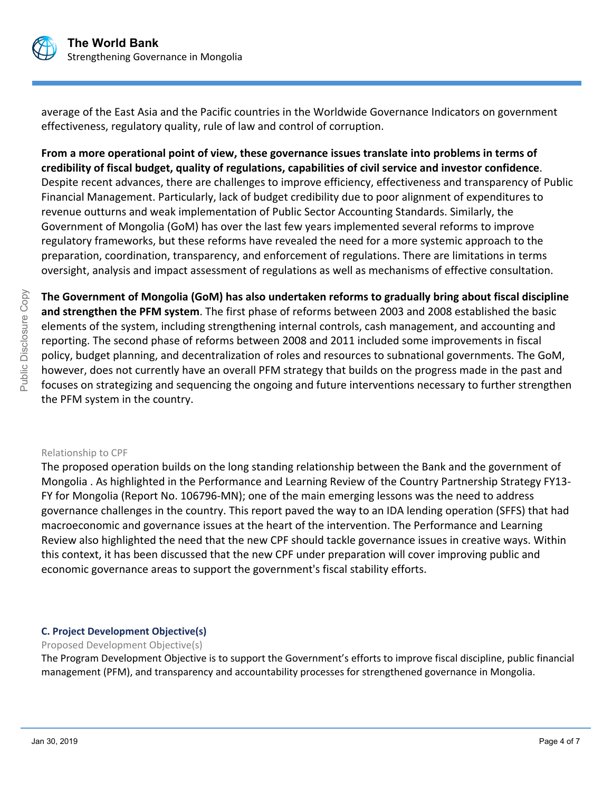

average of the East Asia and the Pacific countries in the Worldwide Governance Indicators on government effectiveness, regulatory quality, rule of law and control of corruption.

**From a more operational point of view, these governance issues translate into problems in terms of credibility of fiscal budget, quality of regulations, capabilities of civil service and investor confidence**. Despite recent advances, there are challenges to improve efficiency, effectiveness and transparency of Public Financial Management. Particularly, lack of budget credibility due to poor alignment of expenditures to revenue outturns and weak implementation of Public Sector Accounting Standards. Similarly, the Government of Mongolia (GoM) has over the last few years implemented several reforms to improve regulatory frameworks, but these reforms have revealed the need for a more systemic approach to the preparation, coordination, transparency, and enforcement of regulations. There are limitations in terms oversight, analysis and impact assessment of regulations as well as mechanisms of effective consultation.

**The Government of Mongolia (GoM) has also undertaken reforms to gradually bring about fiscal discipline and strengthen the PFM system**. The first phase of reforms between 2003 and 2008 established the basic elements of the system, including strengthening internal controls, cash management, and accounting and reporting. The second phase of reforms between 2008 and 2011 included some improvements in fiscal policy, budget planning, and decentralization of roles and resources to subnational governments. The GoM, however, does not currently have an overall PFM strategy that builds on the progress made in the past and focuses on strategizing and sequencing the ongoing and future interventions necessary to further strengthen the PFM system in the country.

## Relationship to CPF

The proposed operation builds on the long standing relationship between the Bank and the government of Mongolia . As highlighted in the Performance and Learning Review of the Country Partnership Strategy FY13- FY for Mongolia (Report No. 106796-MN); one of the main emerging lessons was the need to address governance challenges in the country. This report paved the way to an IDA lending operation (SFFS) that had macroeconomic and governance issues at the heart of the intervention. The Performance and Learning Review also highlighted the need that the new CPF should tackle governance issues in creative ways. Within this context, it has been discussed that the new CPF under preparation will cover improving public and economic governance areas to support the government's fiscal stability efforts.

## **C. Project Development Objective(s)**

Proposed Development Objective(s)

The Program Development Objective is to support the Government's efforts to improve fiscal discipline, public financial management (PFM), and transparency and accountability processes for strengthened governance in Mongolia.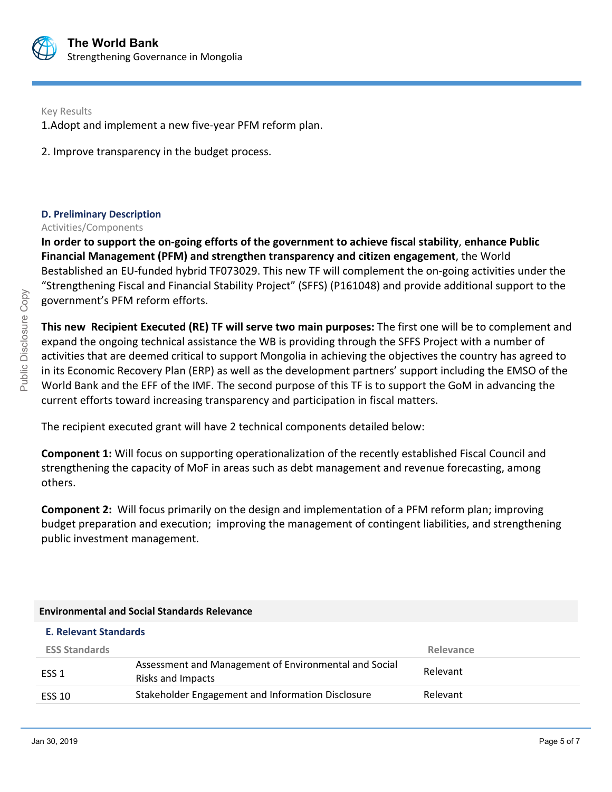

Key Results

1.Adopt and implement a new five-year PFM reform plan.

2. Improve transparency in the budget process.

## **D. Preliminary Description**

## Activities/Components

**In order to support the on-going efforts of the government to achieve fiscal stability**, **enhance Public Financial Management (PFM) and strengthen transparency and citizen engagement**, the World Bestablished an EU-funded hybrid TF073029. This new TF will complement the on-going activities under the "Strengthening Fiscal and Financial Stability Project" (SFFS) (P161048) and provide additional support to the government's PFM reform efforts.

**This new Recipient Executed (RE) TF will serve two main purposes:** The first one will be to complement and expand the ongoing technical assistance the WB is providing through the SFFS Project with a number of activities that are deemed critical to support Mongolia in achieving the objectives the country has agreed to in its Economic Recovery Plan (ERP) as well as the development partners' support including the EMSO of the World Bank and the EFF of the IMF. The second purpose of this TF is to support the GoM in advancing the current efforts toward increasing transparency and participation in fiscal matters.

The recipient executed grant will have 2 technical components detailed below:

**Component 1:** Will focus on supporting operationalization of the recently established Fiscal Council and strengthening the capacity of MoF in areas such as debt management and revenue forecasting, among others.

**Component 2:** Will focus primarily on the design and implementation of a PFM reform plan; improving budget preparation and execution; improving the management of contingent liabilities, and strengthening public investment management.

## **Environmental and Social Standards Relevance**

| <b>E. Relevant Standards</b> |                                                                            |           |
|------------------------------|----------------------------------------------------------------------------|-----------|
| <b>ESS Standards</b>         |                                                                            | Relevance |
| ESS <sub>1</sub>             | Assessment and Management of Environmental and Social<br>Risks and Impacts | Relevant  |
| <b>ESS 10</b>                | Stakeholder Engagement and Information Disclosure                          | Relevant  |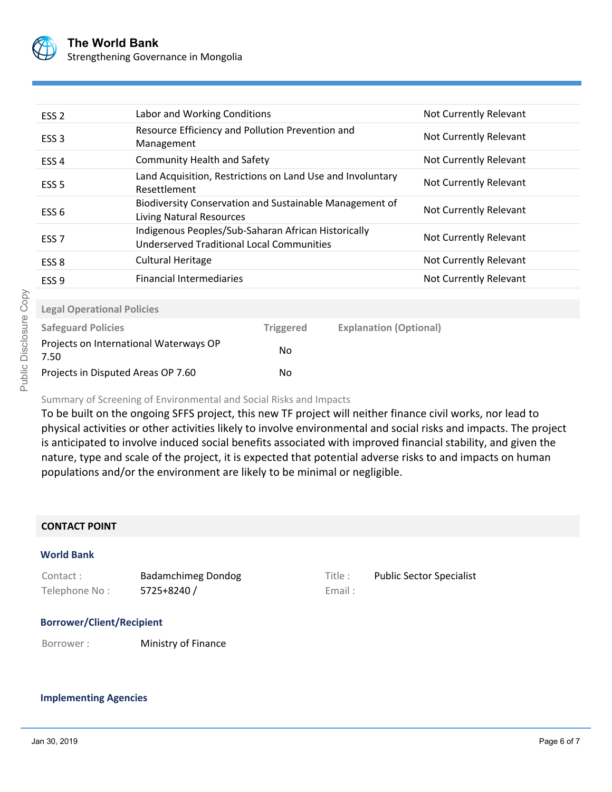

| ESS <sub>2</sub>                               | Labor and Working Conditions                                                                            |                  | Not Currently Relevant        |                        |
|------------------------------------------------|---------------------------------------------------------------------------------------------------------|------------------|-------------------------------|------------------------|
| ESS <sub>3</sub>                               | Resource Efficiency and Pollution Prevention and<br>Management                                          |                  | Not Currently Relevant        |                        |
| ESS <sub>4</sub>                               | <b>Community Health and Safety</b>                                                                      |                  |                               | Not Currently Relevant |
| ESS <sub>5</sub>                               | Land Acquisition, Restrictions on Land Use and Involuntary<br>Resettlement                              |                  |                               | Not Currently Relevant |
| ESS <sub>6</sub>                               | Biodiversity Conservation and Sustainable Management of<br>Living Natural Resources                     |                  |                               | Not Currently Relevant |
| ESS <sub>7</sub>                               | Indigenous Peoples/Sub-Saharan African Historically<br><b>Underserved Traditional Local Communities</b> |                  |                               | Not Currently Relevant |
| ESS <sub>8</sub>                               | <b>Cultural Heritage</b>                                                                                |                  |                               | Not Currently Relevant |
| ESS <sub>9</sub>                               | <b>Financial Intermediaries</b>                                                                         |                  |                               | Not Currently Relevant |
| <b>Legal Operational Policies</b>              |                                                                                                         |                  |                               |                        |
| <b>Safeguard Policies</b>                      |                                                                                                         | <b>Triggered</b> | <b>Explanation (Optional)</b> |                        |
| Projects on International Waterways OP<br>7.50 |                                                                                                         | No               |                               |                        |
| Projects in Disputed Areas OP 7.60             |                                                                                                         | No               |                               |                        |

# Summary of Screening of Environmental and Social Risks and Impacts

To be built on the ongoing SFFS project, this new TF project will neither finance civil works, nor lead to physical activities or other activities likely to involve environmental and social risks and impacts. The project is anticipated to involve induced social benefits associated with improved financial stability, and given the nature, type and scale of the project, it is expected that potential adverse risks to and impacts on human populations and/or the environment are likely to be minimal or negligible.

## **CONTACT POINT**

## **World Bank**

| Contact:      | Badamchimeg Dondog | Title : | <b>Public Sector Specialist</b> |
|---------------|--------------------|---------|---------------------------------|
| Telephone No: | 5725+8240 /        | Email:  |                                 |

| Title: | <b>Public Sector Speciali</b> |
|--------|-------------------------------|
| Email: |                               |

## **Borrower/Client/Recipient**

Borrower : Ministry of Finance

## **Implementing Agencies**